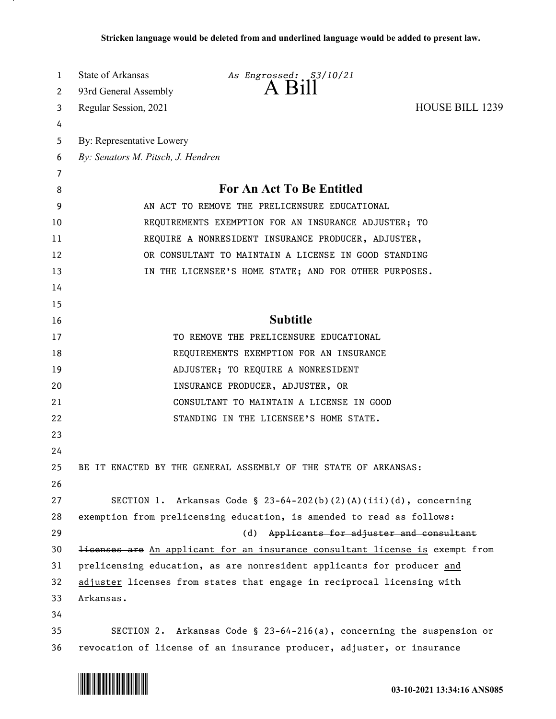| 1  | State of Arkansas                                                      | As Engrossed: S3/10/21                                                                  |                 |
|----|------------------------------------------------------------------------|-----------------------------------------------------------------------------------------|-----------------|
| 2  | 93rd General Assembly                                                  | $A$ $B1II$                                                                              |                 |
| 3  | Regular Session, 2021                                                  |                                                                                         | HOUSE BILL 1239 |
| 4  |                                                                        |                                                                                         |                 |
| 5  | By: Representative Lowery                                              |                                                                                         |                 |
| 6  | By: Senators M. Pitsch, J. Hendren                                     |                                                                                         |                 |
| 7  |                                                                        |                                                                                         |                 |
| 8  | <b>For An Act To Be Entitled</b>                                       |                                                                                         |                 |
| 9  | AN ACT TO REMOVE THE PRELICENSURE EDUCATIONAL                          |                                                                                         |                 |
| 10 | REQUIREMENTS EXEMPTION FOR AN INSURANCE ADJUSTER; TO                   |                                                                                         |                 |
| 11 | REQUIRE A NONRESIDENT INSURANCE PRODUCER, ADJUSTER,                    |                                                                                         |                 |
| 12 | OR CONSULTANT TO MAINTAIN A LICENSE IN GOOD STANDING                   |                                                                                         |                 |
| 13 |                                                                        | IN THE LICENSEE'S HOME STATE; AND FOR OTHER PURPOSES.                                   |                 |
| 14 |                                                                        |                                                                                         |                 |
| 15 |                                                                        |                                                                                         |                 |
| 16 |                                                                        | <b>Subtitle</b>                                                                         |                 |
| 17 |                                                                        | TO REMOVE THE PRELICENSURE EDUCATIONAL                                                  |                 |
| 18 |                                                                        | REQUIREMENTS EXEMPTION FOR AN INSURANCE                                                 |                 |
| 19 |                                                                        | ADJUSTER; TO REQUIRE A NONRESIDENT                                                      |                 |
| 20 |                                                                        | INSURANCE PRODUCER, ADJUSTER, OR                                                        |                 |
| 21 |                                                                        | CONSULTANT TO MAINTAIN A LICENSE IN GOOD                                                |                 |
| 22 |                                                                        | STANDING IN THE LICENSEE'S HOME STATE.                                                  |                 |
| 23 |                                                                        |                                                                                         |                 |
| 24 |                                                                        |                                                                                         |                 |
| 25 |                                                                        | BE IT ENACTED BY THE GENERAL ASSEMBLY OF THE STATE OF ARKANSAS:                         |                 |
| 26 |                                                                        |                                                                                         |                 |
| 27 |                                                                        | SECTION 1. Arkansas Code § 23-64-202(b)(2)(A)(iii)(d), concerning                       |                 |
| 28 |                                                                        | exemption from prelicensing education, is amended to read as follows:                   |                 |
| 29 |                                                                        | (d)<br>Applicants for adjuster and consultant                                           |                 |
| 30 |                                                                        | <del>licenses are</del> An applicant for an insurance consultant license is exempt from |                 |
| 31 | prelicensing education, as are nonresident applicants for producer and |                                                                                         |                 |
| 32 | adjuster licenses from states that engage in reciprocal licensing with |                                                                                         |                 |
| 33 | Arkansas.                                                              |                                                                                         |                 |
| 34 |                                                                        |                                                                                         |                 |
| 35 |                                                                        | SECTION 2. Arkansas Code § 23-64-216(a), concerning the suspension or                   |                 |
| 36 |                                                                        | revocation of license of an insurance producer, adjuster, or insurance                  |                 |

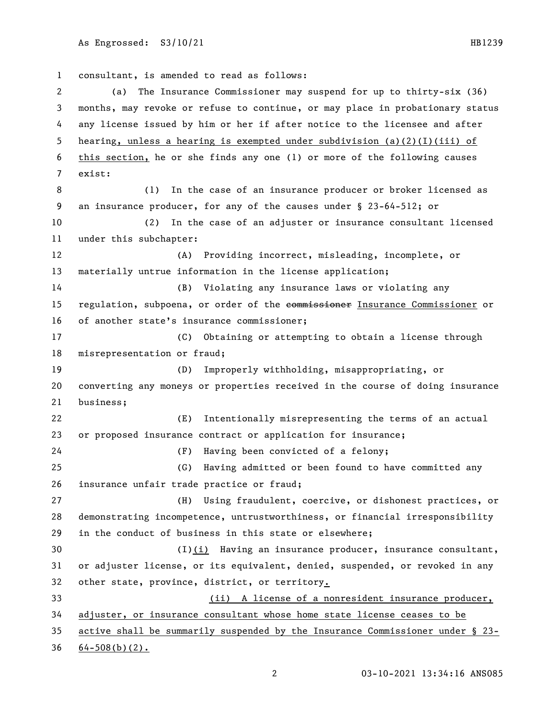consultant, is amended to read as follows: (a) The Insurance Commissioner may suspend for up to thirty-six (36) months, may revoke or refuse to continue, or may place in probationary status any license issued by him or her if after notice to the licensee and after hearing, unless a hearing is exempted under subdivision (a)(2)(I)(iii) of this section, he or she finds any one (1) or more of the following causes exist: (1) In the case of an insurance producer or broker licensed as an insurance producer, for any of the causes under § 23-64-512; or (2) In the case of an adjuster or insurance consultant licensed under this subchapter: (A) Providing incorrect, misleading, incomplete, or materially untrue information in the license application; (B) Violating any insurance laws or violating any 15 regulation, subpoena, or order of the commissioner Insurance Commissioner or of another state's insurance commissioner; (C) Obtaining or attempting to obtain a license through misrepresentation or fraud; (D) Improperly withholding, misappropriating, or converting any moneys or properties received in the course of doing insurance business; (E) Intentionally misrepresenting the terms of an actual or proposed insurance contract or application for insurance; (F) Having been convicted of a felony; (G) Having admitted or been found to have committed any insurance unfair trade practice or fraud; (H) Using fraudulent, coercive, or dishonest practices, or demonstrating incompetence, untrustworthiness, or financial irresponsibility in the conduct of business in this state or elsewhere; (I)(i) Having an insurance producer, insurance consultant, or adjuster license, or its equivalent, denied, suspended, or revoked in any other state, province, district, or territory. (ii) A license of a nonresident insurance producer, adjuster, or insurance consultant whose home state license ceases to be active shall be summarily suspended by the Insurance Commissioner under § 23-  $64-508(b)(2)$ .